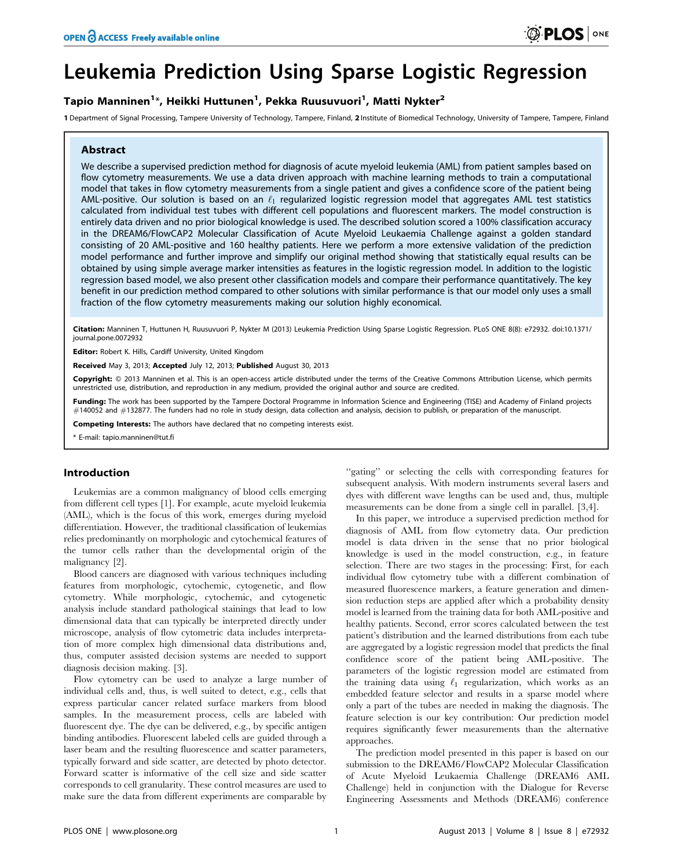# Leukemia Prediction Using Sparse Logistic Regression

# Tapio Manninen<sup>1</sup>\*, Heikki Huttunen<sup>1</sup>, Pekka Ruusuvuori<sup>1</sup>, Matti Nykter<sup>2</sup>

1 Department of Signal Processing, Tampere University of Technology, Tampere, Finland, 2 Institute of Biomedical Technology, University of Tampere, Tampere, Finland

### Abstract

We describe a supervised prediction method for diagnosis of acute myeloid leukemia (AML) from patient samples based on flow cytometry measurements. We use a data driven approach with machine learning methods to train a computational model that takes in flow cytometry measurements from a single patient and gives a confidence score of the patient being AML-positive. Our solution is based on an  $\ell_1$  regularized logistic regression model that aggregates AML test statistics calculated from individual test tubes with different cell populations and fluorescent markers. The model construction is entirely data driven and no prior biological knowledge is used. The described solution scored a 100% classification accuracy in the DREAM6/FlowCAP2 Molecular Classification of Acute Myeloid Leukaemia Challenge against a golden standard consisting of 20 AML-positive and 160 healthy patients. Here we perform a more extensive validation of the prediction model performance and further improve and simplify our original method showing that statistically equal results can be obtained by using simple average marker intensities as features in the logistic regression model. In addition to the logistic regression based model, we also present other classification models and compare their performance quantitatively. The key benefit in our prediction method compared to other solutions with similar performance is that our model only uses a small fraction of the flow cytometry measurements making our solution highly economical.

Citation: Manninen T, Huttunen H, Ruusuvuori P, Nykter M (2013) Leukemia Prediction Using Sparse Logistic Regression. PLoS ONE 8(8): e72932. doi:10.1371/ journal.pone.0072932

Editor: Robert K. Hills, Cardiff University, United Kingdom

Received May 3, 2013; Accepted July 12, 2013; Published August 30, 2013

Copyright: © 2013 Manninen et al. This is an open-access article distributed under the terms of the Creative Commons Attribution License, which permits unrestricted use, distribution, and reproduction in any medium, provided the original author and source are credited.

Funding: The work has been supported by the Tampere Doctoral Programme in Information Science and Engineering (TISE) and Academy of Finland projects #140052 and #132877. The funders had no role in study design, data collection and analysis, decision to publish, or preparation of the manuscript.

Competing Interests: The authors have declared that no competing interests exist.

\* E-mail: tapio.manninen@tut.fi

#### Introduction

Leukemias are a common malignancy of blood cells emerging from different cell types [1]. For example, acute myeloid leukemia (AML), which is the focus of this work, emerges during myeloid differentiation. However, the traditional classification of leukemias relies predominantly on morphologic and cytochemical features of the tumor cells rather than the developmental origin of the malignancy [2].

Blood cancers are diagnosed with various techniques including features from morphologic, cytochemic, cytogenetic, and flow cytometry. While morphologic, cytochemic, and cytogenetic analysis include standard pathological stainings that lead to low dimensional data that can typically be interpreted directly under microscope, analysis of flow cytometric data includes interpretation of more complex high dimensional data distributions and, thus, computer assisted decision systems are needed to support diagnosis decision making. [3].

Flow cytometry can be used to analyze a large number of individual cells and, thus, is well suited to detect, e.g., cells that express particular cancer related surface markers from blood samples. In the measurement process, cells are labeled with fluorescent dye. The dye can be delivered, e.g., by specific antigen binding antibodies. Fluorescent labeled cells are guided through a laser beam and the resulting fluorescence and scatter parameters, typically forward and side scatter, are detected by photo detector. Forward scatter is informative of the cell size and side scatter corresponds to cell granularity. These control measures are used to make sure the data from different experiments are comparable by

"gating" or selecting the cells with corresponding features for subsequent analysis. With modern instruments several lasers and dyes with different wave lengths can be used and, thus, multiple measurements can be done from a single cell in parallel. [3,4].

In this paper, we introduce a supervised prediction method for diagnosis of AML from flow cytometry data. Our prediction model is data driven in the sense that no prior biological knowledge is used in the model construction, e.g., in feature selection. There are two stages in the processing: First, for each individual flow cytometry tube with a different combination of measured fluorescence markers, a feature generation and dimension reduction steps are applied after which a probability density model is learned from the training data for both AML-positive and healthy patients. Second, error scores calculated between the test patient's distribution and the learned distributions from each tube are aggregated by a logistic regression model that predicts the final confidence score of the patient being AML-positive. The parameters of the logistic regression model are estimated from the training data using  $\ell_1$  regularization, which works as an embedded feature selector and results in a sparse model where only a part of the tubes are needed in making the diagnosis. The feature selection is our key contribution: Our prediction model requires significantly fewer measurements than the alternative approaches.

The prediction model presented in this paper is based on our submission to the DREAM6/FlowCAP2 Molecular Classification of Acute Myeloid Leukaemia Challenge (DREAM6 AML Challenge) held in conjunction with the Dialogue for Reverse Engineering Assessments and Methods (DREAM6) conference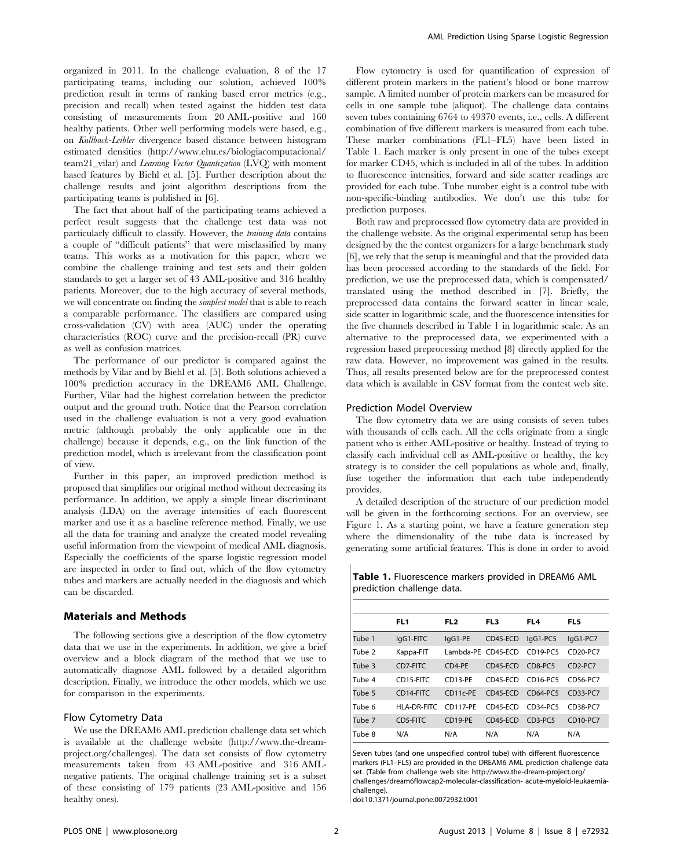organized in 2011. In the challenge evaluation, 8 of the 17 participating teams, including our solution, achieved 100% prediction result in terms of ranking based error metrics (e.g., precision and recall) when tested against the hidden test data consisting of measurements from 20 AML-positive and 160 healthy patients. Other well performing models were based, e.g., on Kullback-Leibler divergence based distance between histogram estimated densities (http://www.ehu.es/biologiacomputacional/ team21\_vilar) and Learning Vector Quantization (LVQ) with moment based features by Biehl et al. [5]. Further description about the challenge results and joint algorithm descriptions from the participating teams is published in [6].

The fact that about half of the participating teams achieved a perfect result suggests that the challenge test data was not particularly difficult to classify. However, the training data contains a couple of ''difficult patients'' that were misclassified by many teams. This works as a motivation for this paper, where we combine the challenge training and test sets and their golden standards to get a larger set of 43 AML-positive and 316 healthy patients. Moreover, due to the high accuracy of several methods, we will concentrate on finding the simplest model that is able to reach a comparable performance. The classifiers are compared using cross-validation (CV) with area (AUC) under the operating characteristics (ROC) curve and the precision-recall (PR) curve as well as confusion matrices.

The performance of our predictor is compared against the methods by Vilar and by Biehl et al. [5]. Both solutions achieved a 100% prediction accuracy in the DREAM6 AML Challenge. Further, Vilar had the highest correlation between the predictor output and the ground truth. Notice that the Pearson correlation used in the challenge evaluation is not a very good evaluation metric (although probably the only applicable one in the challenge) because it depends, e.g., on the link function of the prediction model, which is irrelevant from the classification point of view.

Further in this paper, an improved prediction method is proposed that simplifies our original method without decreasing its performance. In addition, we apply a simple linear discriminant analysis (LDA) on the average intensities of each fluorescent marker and use it as a baseline reference method. Finally, we use all the data for training and analyze the created model revealing useful information from the viewpoint of medical AML diagnosis. Especially the coefficients of the sparse logistic regression model are inspected in order to find out, which of the flow cytometry tubes and markers are actually needed in the diagnosis and which can be discarded.

#### Materials and Methods

The following sections give a description of the flow cytometry data that we use in the experiments. In addition, we give a brief overview and a block diagram of the method that we use to automatically diagnose AML followed by a detailed algorithm description. Finally, we introduce the other models, which we use for comparison in the experiments.

## Flow Cytometry Data

We use the DREAM6 AML prediction challenge data set which is available at the challenge website (http://www.the-dreamproject.org/challenges). The data set consists of flow cytometry measurements taken from 43 AML-positive and 316 AMLnegative patients. The original challenge training set is a subset of these consisting of 179 patients (23 AML-positive and 156 healthy ones).

Flow cytometry is used for quantification of expression of different protein markers in the patient's blood or bone marrow sample. A limited number of protein markers can be measured for cells in one sample tube (aliquot). The challenge data contains seven tubes containing 6764 to 49370 events, i.e., cells. A different combination of five different markers is measured from each tube. These marker combinations (FL1–FL5) have been listed in Table 1. Each marker is only present in one of the tubes except for marker CD45, which is included in all of the tubes. In addition to fluorescence intensities, forward and side scatter readings are provided for each tube. Tube number eight is a control tube with non-specific-binding antibodies. We don't use this tube for prediction purposes.

Both raw and preprocessed flow cytometry data are provided in the challenge website. As the original experimental setup has been designed by the the contest organizers for a large benchmark study [6], we rely that the setup is meaningful and that the provided data has been processed according to the standards of the field. For prediction, we use the preprocessed data, which is compensated/ translated using the method described in [7]. Briefly, the preprocessed data contains the forward scatter in linear scale, side scatter in logarithmic scale, and the fluorescence intensities for the five channels described in Table 1 in logarithmic scale. As an alternative to the preprocessed data, we experimented with a regression based preprocessing method [8] directly applied for the raw data. However, no improvement was gained in the results. Thus, all results presented below are for the preprocessed contest data which is available in CSV format from the contest web site.

#### Prediction Model Overview

The flow cytometry data we are using consists of seven tubes with thousands of cells each. All the cells originate from a single patient who is either AML-positive or healthy. Instead of trying to classify each individual cell as AML-positive or healthy, the key strategy is to consider the cell populations as whole and, finally, fuse together the information that each tube independently provides.

A detailed description of the structure of our prediction model will be given in the forthcoming sections. For an overview, see Figure 1. As a starting point, we have a feature generation step where the dimensionality of the tube data is increased by generating some artificial features. This is done in order to avoid

Table 1. Fluorescence markers provided in DREAM6 AML prediction challenge data.

|        | FL1         | FL <sub>2</sub>    | FL <sub>3</sub> | FL4                              | FL <sub>5</sub>      |
|--------|-------------|--------------------|-----------------|----------------------------------|----------------------|
| Tube 1 | lgG1-FITC   | lgG1-PE            | CD45-ECD        | lgG1-PC5                         | lgG1-PC7             |
| Tube 2 | Kappa-FIT   | Lambda-PE CD45-ECD |                 | CD <sub>19-PC5</sub>             | CD <sub>20-PC7</sub> |
| Tube 3 | CD7-FITC    | CD4-PE             | $CD45-ECD$      | CD8-PC5                          | $CD2-PC7$            |
| Tube 4 | CD15-FITC   | CD13-PE            | CD45-FCD        | CD16-PC5                         | CD56-PC7             |
| Tube 5 | CD14-FITC   | CD11c-PE           | $CD45-ECD$      | CD64-PC5                         | CD33-PC7             |
| Tube 6 | HLA-DR-FITC | CD117-PE           | CD45-ECD        | CD34-PC5                         | CD38-PC7             |
| Tube 7 | CD5-FITC    | CD19-PE            | CD45-ECD        | CD <sub>3</sub> -PC <sub>5</sub> | CD10-PC7             |
| Tube 8 | N/A         | N/A                | N/A             | N/A                              | N/A                  |

Seven tubes (and one unspecified control tube) with different fluorescence markers (FL1–FL5) are provided in the DREAM6 AML prediction challenge data set. (Table from challenge web site: http://www.the-dream-project.org/ challenges/dream6flowcap2-molecular-classification- acute-myeloid-leukaemiachallenge).

doi:10.1371/journal.pone.0072932.t001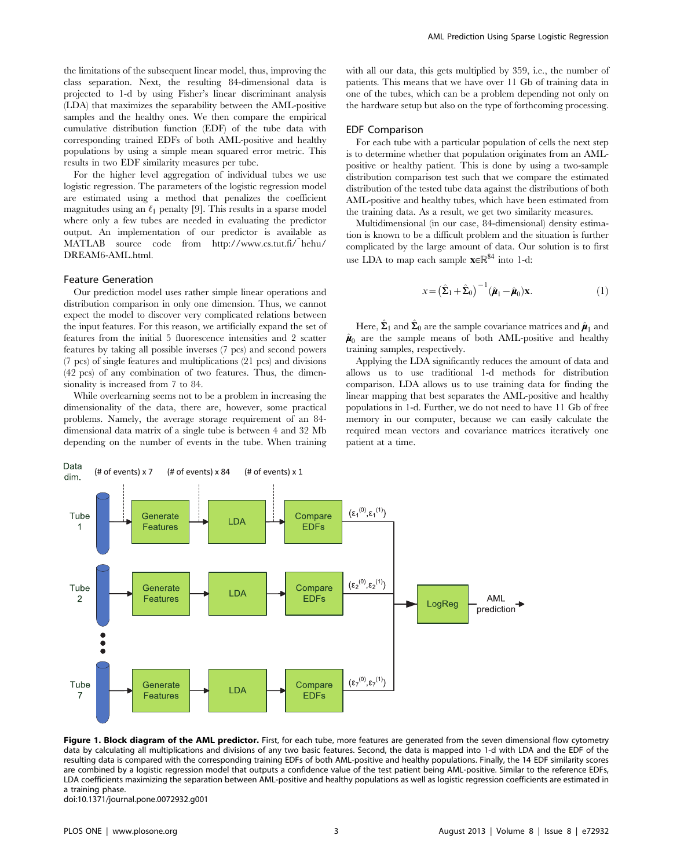the limitations of the subsequent linear model, thus, improving the class separation. Next, the resulting 84-dimensional data is projected to 1-d by using Fisher's linear discriminant analysis (LDA) that maximizes the separability between the AML-positive samples and the healthy ones. We then compare the empirical cumulative distribution function (EDF) of the tube data with corresponding trained EDFs of both AML-positive and healthy populations by using a simple mean squared error metric. This results in two EDF similarity measures per tube.

For the higher level aggregation of individual tubes we use logistic regression. The parameters of the logistic regression model are estimated using a method that penalizes the coefficient magnitudes using an  $\ell_1$  penalty [9]. This results in a sparse model where only a few tubes are needed in evaluating the predictor output. An implementation of our predictor is available as MATLAB source code from http://www.cs.tut.fi/˜hehu/ DREAM6-AML.html.

#### Feature Generation

Our prediction model uses rather simple linear operations and distribution comparison in only one dimension. Thus, we cannot expect the model to discover very complicated relations between the input features. For this reason, we artificially expand the set of features from the initial 5 fluorescence intensities and 2 scatter features by taking all possible inverses (7 pcs) and second powers (7 pcs) of single features and multiplications (21 pcs) and divisions (42 pcs) of any combination of two features. Thus, the dimensionality is increased from 7 to 84.

While overlearning seems not to be a problem in increasing the dimensionality of the data, there are, however, some practical problems. Namely, the average storage requirement of an 84 dimensional data matrix of a single tube is between 4 and 32 Mb depending on the number of events in the tube. When training with all our data, this gets multiplied by 359, i.e., the number of patients. This means that we have over 11 Gb of training data in one of the tubes, which can be a problem depending not only on the hardware setup but also on the type of forthcoming processing.

#### EDF Comparison

For each tube with a particular population of cells the next step is to determine whether that population originates from an AMLpositive or healthy patient. This is done by using a two-sample distribution comparison test such that we compare the estimated distribution of the tested tube data against the distributions of both AML-positive and healthy tubes, which have been estimated from the training data. As a result, we get two similarity measures.

Multidimensional (in our case, 84-dimensional) density estimation is known to be a difficult problem and the situation is further complicated by the large amount of data. Our solution is to first use LDA to map each sample  $\mathbf{x} \in \mathbb{R}^{84}$  into 1-d:

$$
x = \left(\hat{\boldsymbol{\Sigma}}_1 + \hat{\boldsymbol{\Sigma}}_0\right)^{-1} \left(\hat{\boldsymbol{\mu}}_1 - \hat{\boldsymbol{\mu}}_0\right) \mathbf{x}.\tag{1}
$$

Here,  $\hat{\Sigma}_1$  and  $\hat{\Sigma}_0$  are the sample covariance matrices and  $\hat{\mu}_1$  and  $\hat{\boldsymbol{\mu}}_0$  are the sample means of both AML-positive and healthy training samples, respectively.

Applying the LDA significantly reduces the amount of data and allows us to use traditional 1-d methods for distribution comparison. LDA allows us to use training data for finding the linear mapping that best separates the AML-positive and healthy populations in 1-d. Further, we do not need to have 11 Gb of free memory in our computer, because we can easily calculate the required mean vectors and covariance matrices iteratively one patient at a time.



Figure 1. Block diagram of the AML predictor. First, for each tube, more features are generated from the seven dimensional flow cytometry data by calculating all multiplications and divisions of any two basic features. Second, the data is mapped into 1-d with LDA and the EDF of the resulting data is compared with the corresponding training EDFs of both AML-positive and healthy populations. Finally, the 14 EDF similarity scores are combined by a logistic regression model that outputs a confidence value of the test patient being AML-positive. Similar to the reference EDFs, LDA coefficients maximizing the separation between AML-positive and healthy populations as well as logistic regression coefficients are estimated in a training phase.

doi:10.1371/journal.pone.0072932.g001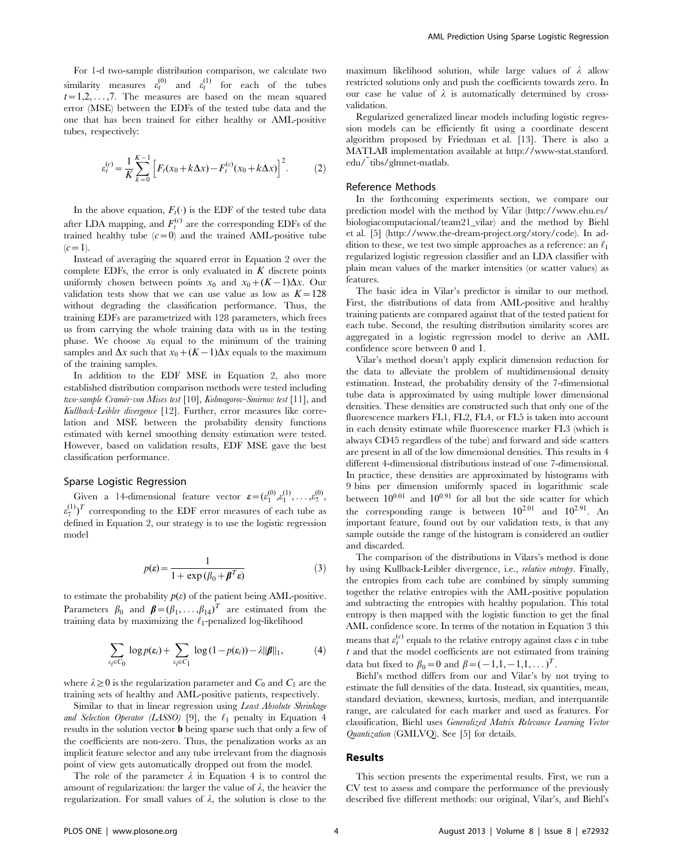For 1-d two-sample distribution comparison, we calculate two similarity measures  $\varepsilon_t^{(0)}$  and  $\varepsilon_t^{(1)}$  for each of the tubes  $t=1,2,\ldots,7$ . The measures are based on the mean squared error (MSE) between the EDFs of the tested tube data and the one that has been trained for either healthy or AML-positive tubes, respectively:

$$
\varepsilon_t^{(c)} = \frac{1}{K} \sum_{k=0}^{K-1} \left[ F_t(x_0 + k\Delta x) - F_t^{(c)}(x_0 + k\Delta x) \right]^2.
$$
 (2)

In the above equation,  $F_t(\cdot)$  is the EDF of the tested tube data after LDA mapping, and  $F_t^{(c)}$  are the corresponding EDFs of the trained healthy tube  $(c=0)$  and the trained AML-positive tube  $(c=1)$ .

Instead of averaging the squared error in Equation 2 over the complete EDFs, the error is only evaluated in  $K$  discrete points uniformly chosen between points  $x_0$  and  $x_0+(K-1)\Delta x$ . Our validation tests show that we can use value as low as  $K=128$ without degrading the classification performance. Thus, the training EDFs are parametrized with 128 parameters, which frees us from carrying the whole training data with us in the testing phase. We choose  $x_0$  equal to the minimum of the training samples and  $\Delta x$  such that  $x_0 + (K-1)\Delta x$  equals to the maximum of the training samples.

In addition to the EDF MSE in Equation 2, also more established distribution comparison methods were tested including two-sample Cramér-von Mises test [10], Kolmogorov-Smirnov test [11], and Kullback-Leibler divergence [12]. Further, error measures like correlation and MSE between the probability density functions estimated with kernel smoothing density estimation were tested. However, based on validation results, EDF MSE gave the best classification performance.

#### Sparse Logistic Regression

Given a 14-dimensional feature vector  $\boldsymbol{\varepsilon} = (\varepsilon_1^{(0)}, \varepsilon_1^{(1)}, \dots, \varepsilon_7^{(0)})$  $\varepsilon_{7}^{(1)}$ )<sup>T</sup> corresponding to the EDF error measures of each tube as defined in Equation 2, our strategy is to use the logistic regression model

$$
p(\varepsilon) = \frac{1}{1 + \exp\left(\beta_0 + \beta^T \varepsilon\right)}\tag{3}
$$

to estimate the probability  $p(\varepsilon)$  of the patient being AML-positive. Parameters  $\beta_0$  and  $\boldsymbol{\beta} = (\beta_1, \dots, \beta_{14})^T$  are estimated from the training data by maximizing the  $\ell_1$ -penalized log-likelihood

$$
\sum_{\varepsilon_i \in C_0} \log p(\varepsilon_i) + \sum_{\varepsilon_i \in C_1} \log (1 - p(\varepsilon_i)) - \lambda ||\boldsymbol{\beta}||_1, \tag{4}
$$

where  $\lambda \geq 0$  is the regularization parameter and  $C_0$  and  $C_1$  are the training sets of healthy and AML-positive patients, respectively.

Similar to that in linear regression using Least Absolute Shrinkage and Selection Operator (LASSO) [9], the  $\ell_1$  penalty in Equation 4 results in the solution vector b being sparse such that only a few of the coefficients are non-zero. Thus, the penalization works as an implicit feature selector and any tube irrelevant from the diagnosis point of view gets automatically dropped out from the model.

The role of the parameter  $\lambda$  in Equation 4 is to control the amount of regularization: the larger the value of  $\lambda$ , the heavier the regularization. For small values of  $\lambda$ , the solution is close to the maximum likelihood solution, while large values of  $\lambda$  allow restricted solutions only and push the coefficients towards zero. In our case he value of  $\lambda$  is automatically determined by crossvalidation.

Regularized generalized linear models including logistic regression models can be efficiently fit using a coordinate descent algorithm proposed by Friedman et al. [13]. There is also a MATLAB implementation available at http://www-stat.stanford. edu/˜tibs/glmnet-matlab.

#### Reference Methods

In the forthcoming experiments section, we compare our prediction model with the method by Vilar (http://www.ehu.es/ biologiacomputacional/team21\_vilar) and the method by Biehl et al. [5] (http://www.the-dream-project.org/story/code). In addition to these, we test two simple approaches as a reference: an  $\ell_1$ regularized logistic regression classifier and an LDA classifier with plain mean values of the marker intensities (or scatter values) as features.

The basic idea in Vilar's predictor is similar to our method. First, the distributions of data from AML-positive and healthy training patients are compared against that of the tested patient for each tube. Second, the resulting distribution similarity scores are aggregated in a logistic regression model to derive an AML confidence score between 0 and 1.

Vilar's method doesn't apply explicit dimension reduction for the data to alleviate the problem of multidimensional density estimation. Instead, the probability density of the 7-dimensional tube data is approximated by using multiple lower dimensional densities. These densities are constructed such that only one of the fluorescence markers FL1, FL2, FL4, or FL5 is taken into account in each density estimate while fluorescence marker FL3 (which is always CD45 regardless of the tube) and forward and side scatters are present in all of the low dimensional densities. This results in 4 different 4-dimensional distributions instead of one 7-dimensional. In practice, these densities are approximated by histograms with 9 bins per dimension uniformly spaced in logarithmic scale between  $10^{0.01}$  and  $10^{0.91}$  for all but the side scatter for which the corresponding range is between  $10^{2.01}$  and  $10^{2.91}$ . An important feature, found out by our validation tests, is that any sample outside the range of the histogram is considered an outlier and discarded.

The comparison of the distributions in Vilars's method is done by using Kullback-Leibler divergence, i.e., relative entropy. Finally, the entropies from each tube are combined by simply summing together the relative entropies with the AML-positive population and subtracting the entropies with healthy population. This total entropy is then mapped with the logistic function to get the final AML confidence score. In terms of the notation in Equation 3 this means that  $\varepsilon_t^{(c)}$  equals to the relative entropy against class  $c$  in tube  $t$  and that the model coefficients are not estimated from training data but fixed to  $\beta_0 = 0$  and  $\beta = (-1,1, -1,1, ...)$ <sup>T</sup>.

Biehl's method differs from our and Vilar's by not trying to estimate the full densities of the data. Instead, six quantities, mean, standard deviation, skewness, kurtosis, median, and interquantile range, are calculated for each marker and used as features. For classification, Biehl uses Generalized Matrix Relevance Learning Vector Quantization (GMLVQ). See [5] for details.

#### Results

This section presents the experimental results. First, we run a CV test to assess and compare the performance of the previously described five different methods: our original, Vilar's, and Biehl's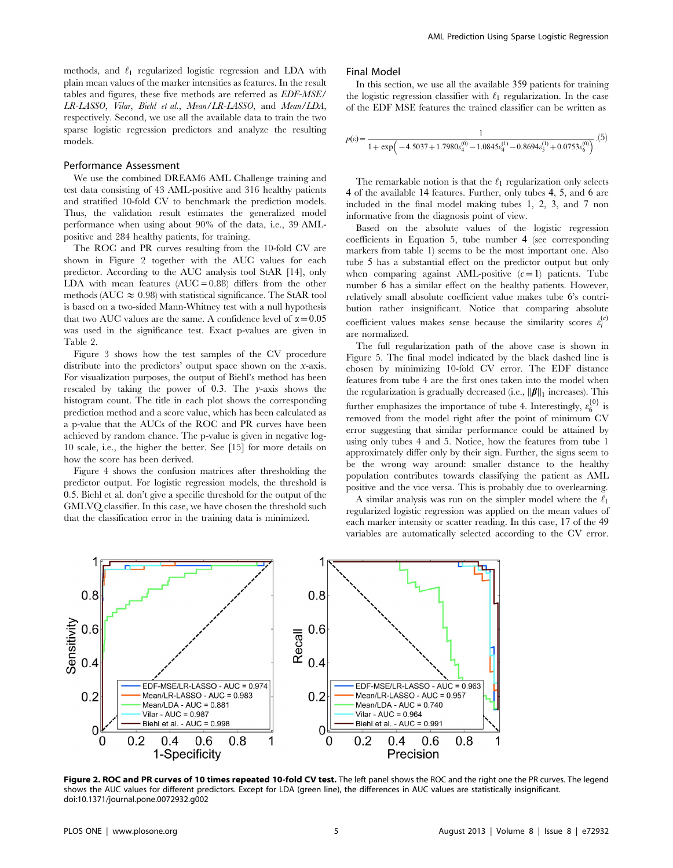methods, and  $\ell_1$  regularized logistic regression and LDA with plain mean values of the marker intensities as features. In the result tables and figures, these five methods are referred as EDF-MSE/ LR-LASSO, Vilar, Biehl et al., Mean/LR-LASSO, and Mean/LDA, respectively. Second, we use all the available data to train the two sparse logistic regression predictors and analyze the resulting models.

#### Performance Assessment

We use the combined DREAM6 AML Challenge training and test data consisting of 43 AML-positive and 316 healthy patients and stratified 10-fold CV to benchmark the prediction models. Thus, the validation result estimates the generalized model performance when using about 90% of the data, i.e., 39 AMLpositive and 284 healthy patients, for training.

The ROC and PR curves resulting from the 10-fold CV are shown in Figure 2 together with the AUC values for each predictor. According to the AUC analysis tool StAR [14], only LDA with mean features  $(AUC = 0.88)$  differs from the other methods (AUC  $\approx 0.98$ ) with statistical significance. The StAR tool is based on a two-sided Mann-Whitney test with a null hypothesis that two AUC values are the same. A confidence level of  $\alpha$  = 0.05 was used in the significance test. Exact p-values are given in Table 2.

Figure 3 shows how the test samples of the CV procedure distribute into the predictors' output space shown on the x-axis. For visualization purposes, the output of Biehl's method has been rescaled by taking the power of 0:3. The y-axis shows the histogram count. The title in each plot shows the corresponding prediction method and a score value, which has been calculated as a p-value that the AUCs of the ROC and PR curves have been achieved by random chance. The p-value is given in negative log-10 scale, i.e., the higher the better. See [15] for more details on how the score has been derived.

Figure 4 shows the confusion matrices after thresholding the predictor output. For logistic regression models, the threshold is 0:5. Biehl et al. don't give a specific threshold for the output of the GMLVQ classifier. In this case, we have chosen the threshold such that the classification error in the training data is minimized.

#### Final Model

In this section, we use all the available 359 patients for training the logistic regression classifier with  $\ell_1$  regularization. In the case of the EDF MSE features the trained classifier can be written as

$$
p(\varepsilon) = \frac{1}{1 + \exp(-4.5037 + 1.7980 \varepsilon_4^{(0)} - 1.0845 \varepsilon_4^{(1)} - 0.8694 \varepsilon_5^{(1)} + 0.0753 \varepsilon_6^{(0)})}.\mathbf{(5)}
$$

The remarkable notion is that the  $\ell_1$  regularization only selects 4 of the available 14 features. Further, only tubes 4, 5, and 6 are included in the final model making tubes 1, 2, 3, and 7 non informative from the diagnosis point of view.

Based on the absolute values of the logistic regression coefficients in Equation 5, tube number 4 (see corresponding markers from table 1) seems to be the most important one. Also tube 5 has a substantial effect on the predictor output but only when comparing against AML-positive  $(c=1)$  patients. Tube number 6 has a similar effect on the healthy patients. However, relatively small absolute coefficient value makes tube 6's contribution rather insignificant. Notice that comparing absolute coefficient values makes sense because the similarity scores  $\varepsilon_i^{(c)}$ are normalized.

The full regularization path of the above case is shown in Figure 5. The final model indicated by the black dashed line is chosen by minimizing 10-fold CV error. The EDF distance features from tube 4 are the first ones taken into the model when the regularization is gradually decreased (i.e.,  $\|\boldsymbol{\beta}\|_1$  increases). This further emphasizes the importance of tube 4. Interestingly,  $\varepsilon_6^{\{0\}}$  is removed from the model right after the point of minimum CV error suggesting that similar performance could be attained by using only tubes 4 and 5. Notice, how the features from tube 1 approximately differ only by their sign. Further, the signs seem to be the wrong way around: smaller distance to the healthy population contributes towards classifying the patient as AML positive and the vice versa. This is probably due to overlearning.

A similar analysis was run on the simpler model where the  $\ell_1$ regularized logistic regression was applied on the mean values of each marker intensity or scatter reading. In this case, 17 of the 49 variables are automatically selected according to the CV error.



Figure 2. ROC and PR curves of 10 times repeated 10-fold CV test. The left panel shows the ROC and the right one the PR curves. The legend shows the AUC values for different predictors. Except for LDA (green line), the differences in AUC values are statistically insignificant. doi:10.1371/journal.pone.0072932.g002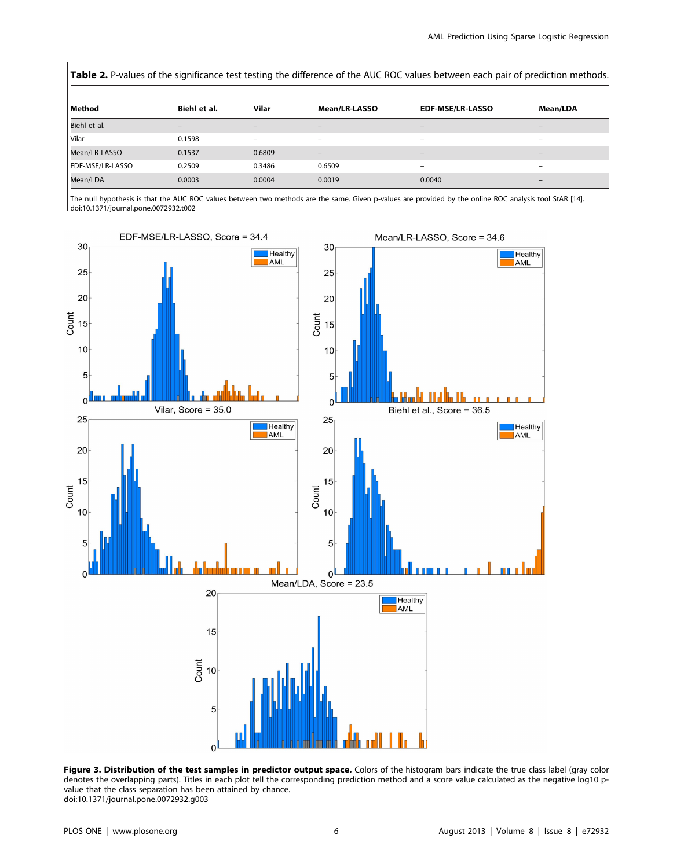Table 2. P-values of the significance test testing the difference of the AUC ROC values between each pair of prediction methods.

| Method           | Biehl et al.      | Vilar           | <b>Mean/LR-LASSO</b>            | <b>EDF-MSE/LR-LASSO</b>  | <b>Mean/LDA</b>          |
|------------------|-------------------|-----------------|---------------------------------|--------------------------|--------------------------|
| Biehl et al.     | $\qquad \qquad -$ | -               | $\qquad \qquad -$               | $\qquad \qquad -$        | -                        |
| Vilar            | 0.1598            | $\qquad \qquad$ | $\overline{\phantom{m}}$        | $\overline{\phantom{a}}$ | $\qquad \qquad$          |
| Mean/LR-LASSO    | 0.1537            | 0.6809          | $\hspace{0.1mm}-\hspace{0.1mm}$ | $\overline{\phantom{m}}$ | $\overline{\phantom{0}}$ |
| EDF-MSE/LR-LASSO | 0.2509            | 0.3486          | 0.6509                          | $\overline{\phantom{m}}$ | $\qquad \qquad$          |
| Mean/LDA         | 0.0003            | 0.0004          | 0.0019                          | 0.0040                   | -                        |

The null hypothesis is that the AUC ROC values between two methods are the same. Given p-values are provided by the online ROC analysis tool StAR [14]. doi:10.1371/journal.pone.0072932.t002



Figure 3. Distribution of the test samples in predictor output space. Colors of the histogram bars indicate the true class label (gray color denotes the overlapping parts). Titles in each plot tell the corresponding prediction method and a score value calculated as the negative log10 pvalue that the class separation has been attained by chance. doi:10.1371/journal.pone.0072932.g003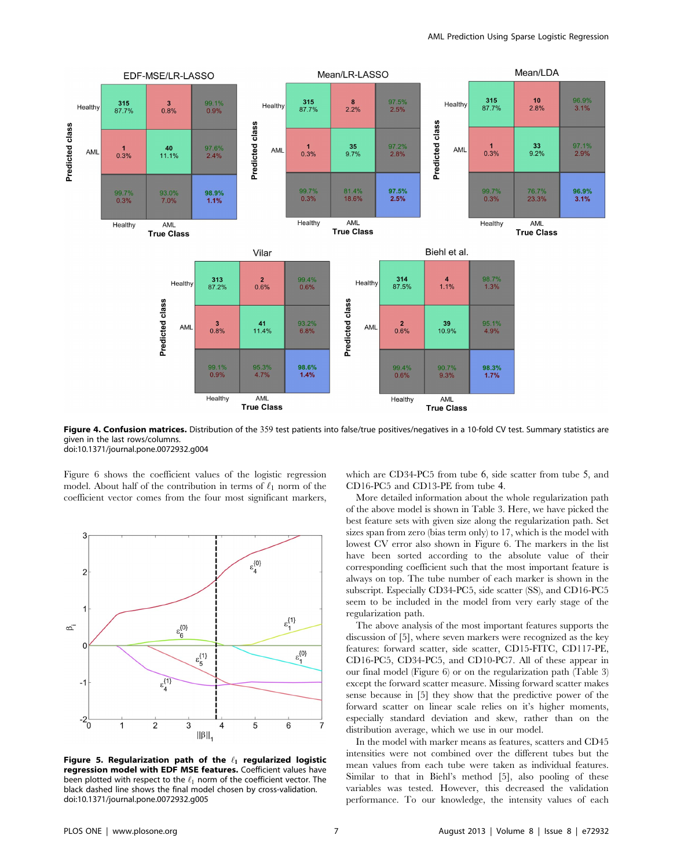

Figure 4. Confusion matrices. Distribution of the 359 test patients into false/true positives/negatives in a 10-fold CV test. Summary statistics are given in the last rows/columns. doi:10.1371/journal.pone.0072932.g004

Figure 6 shows the coefficient values of the logistic regression model. About half of the contribution in terms of  $\ell_1$  norm of the coefficient vector comes from the four most significant markers,



Figure 5. Regularization path of the  $\ell_1$  regularized logistic regression model with EDF MSE features. Coefficient values have been plotted with respect to the  $\ell_1$  norm of the coefficient vector. The black dashed line shows the final model chosen by cross-validation. doi:10.1371/journal.pone.0072932.g005

which are CD34-PC5 from tube 6, side scatter from tube 5, and CD16-PC5 and CD13-PE from tube 4.

More detailed information about the whole regularization path of the above model is shown in Table 3. Here, we have picked the best feature sets with given size along the regularization path. Set sizes span from zero (bias term only) to 17, which is the model with lowest CV error also shown in Figure 6. The markers in the list have been sorted according to the absolute value of their corresponding coefficient such that the most important feature is always on top. The tube number of each marker is shown in the subscript. Especially CD34-PC5, side scatter (SS), and CD16-PC5 seem to be included in the model from very early stage of the regularization path.

The above analysis of the most important features supports the discussion of [5], where seven markers were recognized as the key features: forward scatter, side scatter, CD15-FITC, CD117-PE, CD16-PC5, CD34-PC5, and CD10-PC7. All of these appear in our final model (Figure 6) or on the regularization path (Table 3) except the forward scatter measure. Missing forward scatter makes sense because in [5] they show that the predictive power of the forward scatter on linear scale relies on it's higher moments, especially standard deviation and skew, rather than on the distribution average, which we use in our model.

In the model with marker means as features, scatters and CD45 intensities were not combined over the different tubes but the mean values from each tube were taken as individual features. Similar to that in Biehl's method [5], also pooling of these variables was tested. However, this decreased the validation performance. To our knowledge, the intensity values of each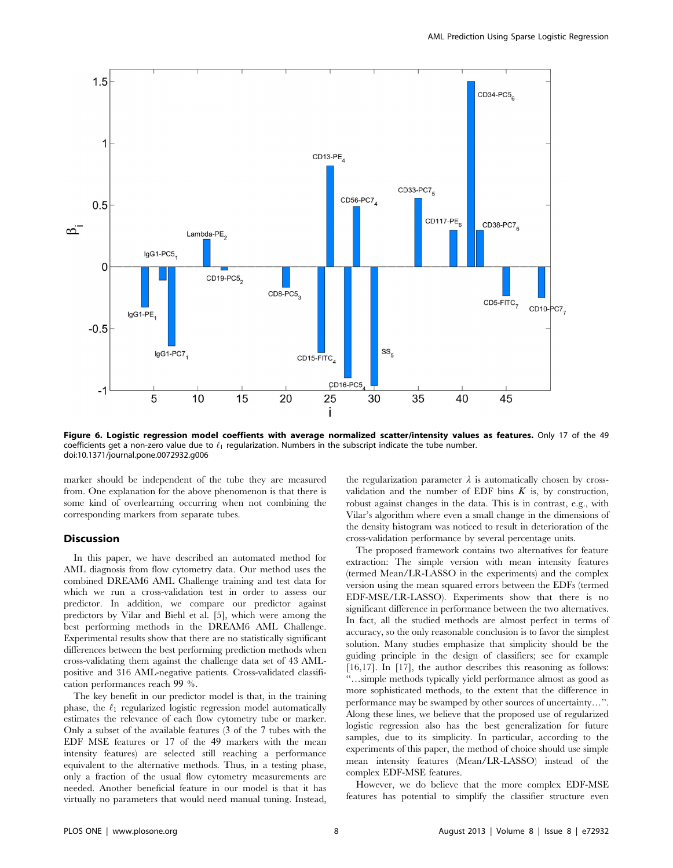

Figure 6. Logistic regression model coeffients with average normalized scatter/intensity values as features. Only 17 of the 49 coefficients get a non-zero value due to  $\ell_1$  regularization. Numbers in the subscript indicate the tube number. doi:10.1371/journal.pone.0072932.g006

marker should be independent of the tube they are measured from. One explanation for the above phenomenon is that there is some kind of overlearning occurring when not combining the corresponding markers from separate tubes.

#### Discussion

In this paper, we have described an automated method for AML diagnosis from flow cytometry data. Our method uses the combined DREAM6 AML Challenge training and test data for which we run a cross-validation test in order to assess our predictor. In addition, we compare our predictor against predictors by Vilar and Biehl et al. [5], which were among the best performing methods in the DREAM6 AML Challenge. Experimental results show that there are no statistically significant differences between the best performing prediction methods when cross-validating them against the challenge data set of 43 AMLpositive and 316 AML-negative patients. Cross-validated classification performances reach 99 %.

The key benefit in our predictor model is that, in the training phase, the  $\ell_1$  regularized logistic regression model automatically estimates the relevance of each flow cytometry tube or marker. Only a subset of the available features (3 of the 7 tubes with the EDF MSE features or 17 of the 49 markers with the mean intensity features) are selected still reaching a performance equivalent to the alternative methods. Thus, in a testing phase, only a fraction of the usual flow cytometry measurements are needed. Another beneficial feature in our model is that it has virtually no parameters that would need manual tuning. Instead,

the regularization parameter  $\lambda$  is automatically chosen by crossvalidation and the number of EDF bins  $K$  is, by construction, robust against changes in the data. This is in contrast, e.g., with Vilar's algorithm where even a small change in the dimensions of the density histogram was noticed to result in deterioration of the cross-validation performance by several percentage units.

The proposed framework contains two alternatives for feature extraction: The simple version with mean intensity features (termed Mean/LR-LASSO in the experiments) and the complex version using the mean squared errors between the EDFs (termed EDF-MSE/LR-LASSO). Experiments show that there is no significant difference in performance between the two alternatives. In fact, all the studied methods are almost perfect in terms of accuracy, so the only reasonable conclusion is to favor the simplest solution. Many studies emphasize that simplicity should be the guiding principle in the design of classifiers; see for example [16,17]. In [17], the author describes this reasoning as follows: ''…simple methods typically yield performance almost as good as more sophisticated methods, to the extent that the difference in performance may be swamped by other sources of uncertainty…''. Along these lines, we believe that the proposed use of regularized logistic regression also has the best generalization for future samples, due to its simplicity. In particular, according to the experiments of this paper, the method of choice should use simple mean intensity features (Mean/LR-LASSO) instead of the complex EDF-MSE features.

However, we do believe that the more complex EDF-MSE features has potential to simplify the classifier structure even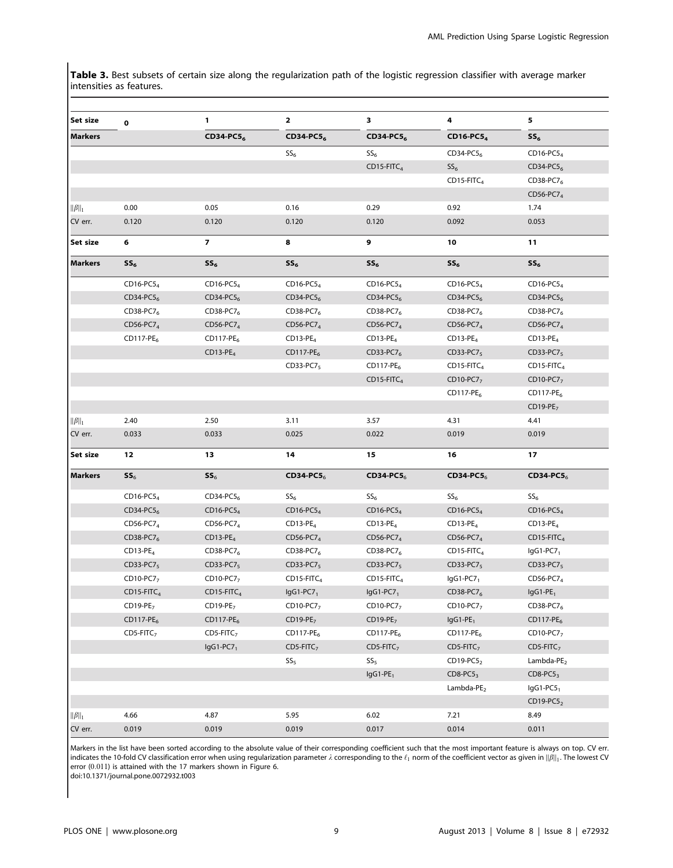Table 3. Best subsets of certain size along the regularization path of the logistic regression classifier with average marker intensities as features.

| Set size                   | $\bf o$               | 1                         | 2                         | з                         | 4                         | 5               |
|----------------------------|-----------------------|---------------------------|---------------------------|---------------------------|---------------------------|-----------------|
| <b>Markers</b>             |                       | $CD34-PC56$               | CD34-PC5 <sub>6</sub>     | CD34-PC56                 | $CD16-PC54$               | $SS_6$          |
|                            |                       |                           | $SS_6$                    | SS <sub>6</sub>           | $CD34-PC56$               | CD16-PC5 $_4$   |
|                            |                       |                           |                           | $CD15$ -FITC <sub>4</sub> | SS <sub>6</sub>           | CD34-PC5 $_6$   |
|                            |                       |                           |                           |                           | $CD15$ -FITC <sub>4</sub> | CD38-PC7 $_6$   |
|                            |                       |                           |                           |                           |                           | $CD56-PC74$     |
| $  \beta  _1$              | 0.00                  | 0.05                      | 0.16                      | 0.29                      | 0.92                      | 1.74            |
| CV err.                    | 0.120                 | 0.120                     | 0.120                     | 0.120                     | 0.092                     | 0.053           |
| Set size                   | 6                     | $\overline{7}$            | 8                         | 9                         | 10                        | 11              |
| Markers                    | SS <sub>6</sub>       | SS <sub>6</sub>           | $SS_6$                    | SS <sub>6</sub>           | $SS_6$                    | SS <sub>6</sub> |
|                            | CD16-PC5 <sub>4</sub> | CD16-PC5 <sub>4</sub>     | CD16-PC5 <sub>4</sub>     | CD16-PC5 $_4$             | CD16-PC5 <sub>4</sub>     | CD16-PC5 $_4$   |
|                            | CD34-PC5 $_6$         | $CD34-PC56$               | CD34-PC5 $_6$             | CD34-PC5 $_6$             | $CD34-PC56$               | CD34-PC5 $_6$   |
|                            | CD38-PC7 $_6$         | CD38-PC7 $_6$             | CD38-PC7 <sub>6</sub>     | CD38-PC7 $_6$             | CD38-PC7 <sub>6</sub>     | CD38-PC7 $_6$   |
|                            | CD56-PC7 $_4$         | $CD56-PC74$               | $CD56-PC74$               | CD56-PC7 $_4$             | CD56-PC7 $_4$             | CD56-PC7 $_4$   |
|                            | $CD117-PE6$           | $CD117-PE6$               | $CD13-PE4$                | $CD13-PE4$                | $CD13-PE4$                | $CD13-PE4$      |
|                            |                       | $CD13-PE4$                | $CD117-PE6$               | $CD33-PC76$               | $CD33-PC75$               | $CD33-PC75$     |
|                            |                       |                           | $CD33-PC75$               | $CD117-PE6$               | $CD15-FITC4$              | $CD15-FITC4$    |
|                            |                       |                           |                           | $CD15$ -FITC <sub>4</sub> | $CD10-PC77$               | $CD10-PC77$     |
|                            |                       |                           |                           |                           | $CD117-PE6$               | $CD117-PE6$     |
|                            |                       |                           |                           |                           |                           | $CD19-PE7$      |
| $  \beta  _1$              | 2.40                  | 2.50                      | 3.11                      | 3.57                      | 4.31                      | 4.41            |
| CV err.                    | 0.033                 | 0.033                     | 0.025                     | 0.022                     | 0.019                     | 0.019           |
| Set size                   | 12                    | 13                        | 14                        | 15                        | 16                        | 17              |
| Markers                    | SS <sub>6</sub>       | SS <sub>6</sub>           | $CD34-PC56$               | $CD34-PC56$               | $CD34-PC56$               | $CD34-PC56$     |
|                            | CD16-PC5 <sub>4</sub> | $CD34-PC56$               | SS <sub>6</sub>           | SS <sub>6</sub>           | SS <sub>6</sub>           | SS <sub>6</sub> |
|                            | CD34-PC5 $_6$         | $CD16-PC54$               | CD16-PC5 $_4$             | $CD16-PC54$               | $CD16-PC54$               | CD16-PC5 $_4$   |
|                            | CD56-PC7 $_4$         | $CD56-PC74$               | $CD13-PE4$                | $CD13-PE4$                | $CD13-PE4$                | $CD13-PE4$      |
|                            | CD38-PC7 $_6$         | $CD13-PE4$                | $CD56-PC74$               | CD56-PC7 $_4$             | $CD56-PC74$               | $CD15-FITC4$    |
|                            | $CD13-PE4$            | $CD38-PC76$               | CD38-PC7 $_6$             | $CD38-PC76$               | $CD15-FITC4$              | $lgG1-PC71$     |
|                            | $CD33-PC75$           | $CD33-PC75$               | $CD33-PC75$               | $CD33-PC75$               | $CD33-PC75$               | $CD33-PC75$     |
|                            | $CD10-PC77$           | $CD10-PC77$               | $CD15$ -FITC <sub>4</sub> | $CD15$ -FITC <sub>4</sub> | $lgG1-PC71$               | CD56-PC7 $_4$   |
|                            | $CD15-FITC4$          | $CD15$ -FITC <sub>4</sub> | $lgG1-PC71$               | $lgG1-PC71$               | CD38-PC76                 | $lgG1-PE1$      |
|                            | $CD19-PE7$            | $CD19-PE7$                | $CD10-PC77$               | CD10-PC7 $_7$             | $CD10-PC77$               | $CD38-PC76$     |
|                            | $CD117-PE6$           | $CD117-PE6$               | $CD19-PE7$                | $CD19-PE7$                | $lgG1-PE1$                | $CD117-PE6$     |
|                            | $CDS-FITC7$           | $CDS-FITC7$               | $CD117-PE6$               | $CD117-PE6$               | $CD117-PE6$               | $CD10-PC77$     |
|                            |                       | $lgG1-PC71$               | $CDS-FITC7$               | $CDS-FITC7$               | $CDS-FITC7$               | $CDS-FITC7$     |
|                            |                       |                           | SS <sub>5</sub>           | SS <sub>5</sub>           | $CD19-PC52$               | Lambda- $PE2$   |
|                            |                       |                           |                           | $lgG1-PE_1$               | $CDS-PC53$                | $CDS-PC53$      |
|                            |                       |                           |                           |                           | Lambda-P $E2$             | $lgG1-PC51$     |
|                            |                       |                           |                           |                           |                           | $CD19-PC52$     |
| $  \boldsymbol{\beta}  _1$ | 4.66                  | 4.87                      | 5.95                      | 6.02                      | 7.21                      | 8.49            |
| CV err.                    | 0.019                 | 0.019                     | 0.019                     | 0.017                     | 0.014                     | 0.011           |
|                            |                       |                           |                           |                           |                           |                 |

Markers in the list have been sorted according to the absolute value of their corresponding coefficient such that the most important feature is always on top. CV err. indicates the 10-fold CV classification error when using regularization parameter  $\lambda$  corresponding to the  $\ell_1$  norm of the coefficient vector as given in  $||\beta||_1$ . The lowest CV error (0.011) is attained with the 17 markers shown in Figure 6.

doi:10.1371/journal.pone.0072932.t003